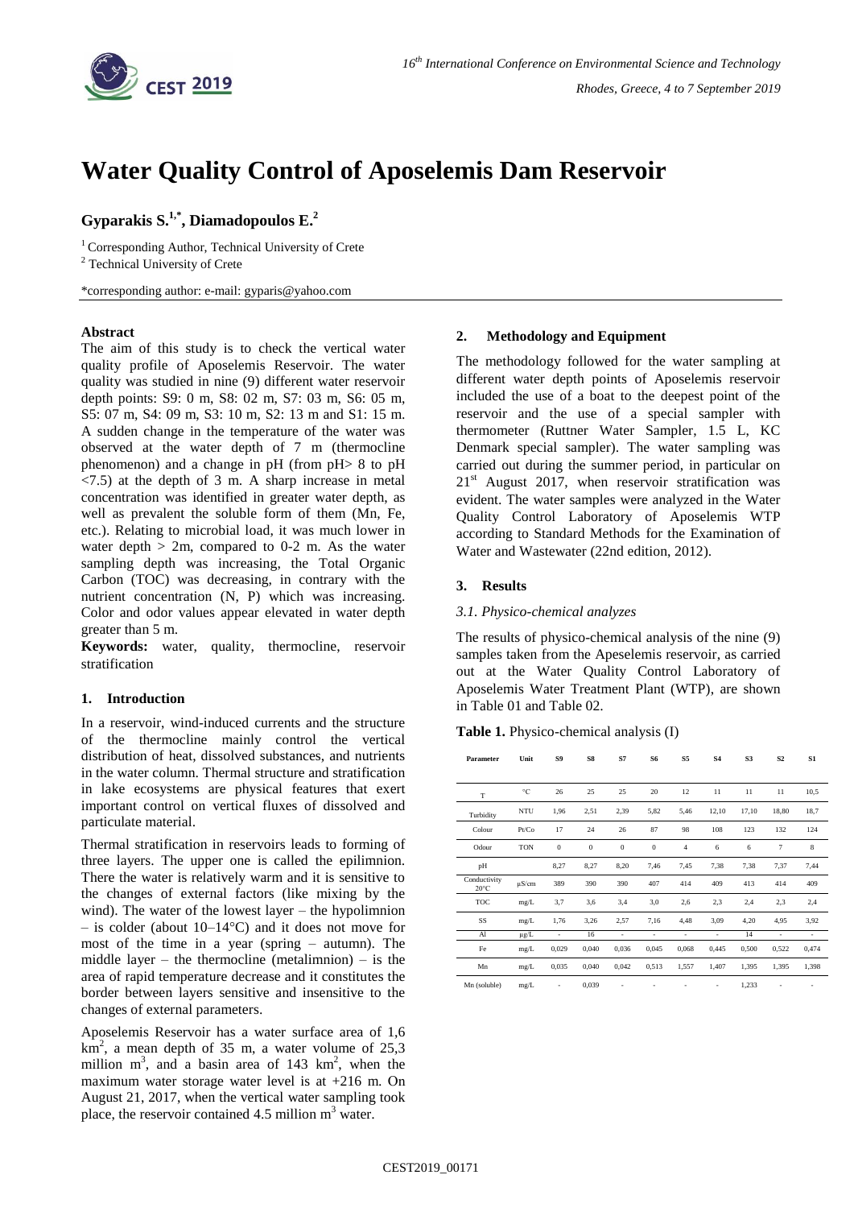

# **Water Quality Control of Aposelemis Dam Reservoir**

# **Gyparakis S.1,\* , Diamadopoulos E. 2**

<sup>1</sup> Corresponding Author, Technical University of Crete <sup>2</sup> Technical University of Crete

\*corresponding author: e-mail: gyparis@yahoo.com

# **Abstract**

The aim of this study is to check the vertical water quality profile of Aposelemis Reservoir. The water quality was studied in nine (9) different water reservoir depth points: S9: 0 m, S8: 02 m, S7: 03 m, S6: 05 m, S5: 07 m, S4: 09 m, S3: 10 m, S2: 13 m and S1: 15 m. A sudden change in the temperature of the water was observed at the water depth of 7 m (thermocline phenomenon) and a change in pH (from pH> 8 to pH  $\langle 7.5 \rangle$  at the depth of 3 m. A sharp increase in metal concentration was identified in greater water depth, as well as prevalent the soluble form of them (Mn, Fe, etc.). Relating to microbial load, it was much lower in water depth  $> 2m$ , compared to 0-2 m. As the water sampling depth was increasing, the Total Organic Carbon (TOC) was decreasing, in contrary with the nutrient concentration (N, P) which was increasing. Color and odor values appear elevated in water depth greater than 5 m.

**Keywords:** water, quality, thermocline, reservoir stratification

#### **1. Introduction**

In a reservoir, wind-induced currents and the structure of the thermocline mainly control the vertical distribution of heat, dissolved substances, and nutrients in the water column. Thermal structure and stratification in lake ecosystems are physical features that exert important control on vertical fluxes of dissolved and particulate material.

Thermal stratification in reservoirs leads to forming of three layers. The upper one is called the epilimnion. There the water is relatively warm and it is sensitive to the changes of external factors (like mixing by the wind). The water of the lowest layer – the hypolimnion – is colder (about 10–14°C) and it does not move for most of the time in a year (spring – autumn). The middle layer – the thermocline (metalimnion) – is the area of rapid temperature decrease and it constitutes the border between layers sensitive and insensitive to the changes of external parameters.

Aposelemis Reservoir has a water surface area of 1,6  $\overline{\text{km}^2}$ , a mean depth of 35 m, a water volume of 25,3 million  $m^3$ , and a basin area of 143 km<sup>2</sup>, when the maximum water storage water level is at  $+216$  m. On August 21, 2017, when the vertical water sampling took place, the reservoir contained 4.5 million m<sup>3</sup> water.

# **2. Methodology and Equipment**

Τhe methodology followed for the water sampling at different water depth points of Aposelemis reservoir included the use of a boat to the deepest point of the reservoir and the use of a special sampler with thermometer (Ruttner Water Sampler, 1.5 L, KC Denmark special sampler). The water sampling was carried out during the summer period, in particular on  $21<sup>st</sup>$  August 2017, when reservoir stratification was evident. Τhe water samples were analyzed in the Water Quality Control Laboratory of Aposelemis WTP according to Standard Methods for the Examination of Water and Wastewater (22nd edition, 2012).

# **3. Results**

### *3.1. Physico-chemical analyzes*

The results of physico-chemical analysis of the nine (9) samples taken from the Apeselemis reservoir, as carried out at the Water Quality Control Laboratory of Aposelemis Water Treatment Plant (WTP), are shown in Table 01 and Table 02.

**Table 1.** Physico-chemical analysis (I)

| Parameter                      | Unit       | S9             | S8           | S7       | S6           | S5             | <b>S4</b> | S3    | S <sub>2</sub> | S1    |
|--------------------------------|------------|----------------|--------------|----------|--------------|----------------|-----------|-------|----------------|-------|
| T                              | °C         | 26             | 25           | 25       | 20           | 12             | 11        | 11    | 11             | 10,5  |
| Turbidity                      | NTU        | 1,96           | 2,51         | 2,39     | 5,82         | 5,46           | 12,10     | 17,10 | 18,80          | 18,7  |
| Colour                         | Pt/Co      | 17             | 24           | 26       | 87           | 98             | 108       | 123   | 132            | 124   |
| Odour                          | <b>TON</b> | $\overline{0}$ | $\mathbf{0}$ | $\theta$ | $\mathbf{0}$ | $\overline{4}$ | 6         | 6     | $\overline{7}$ | 8     |
| pH                             |            | 8,27           | 8,27         | 8,20     | 7,46         | 7,45           | 7,38      | 7,38  | 7,37           | 7,44  |
| Conductivity<br>$20^{\circ}$ C | $\mu$ S/cm | 389            | 390          | 390      | 407          | 414            | 409       | 413   | 414            | 409   |
| TOC                            | mg/L       | 3,7            | 3,6          | 3,4      | 3,0          | 2,6            | 2,3       | 2,4   | 2,3            | 2,4   |
| SS                             | mg/L       | 1,76           | 3,26         | 2,57     | 7,16         | 4,48           | 3,09      | 4,20  | 4,95           | 3,92  |
| Al                             | µg/L       | ä,             | 16           | ٠        | ٠            | ٠              | ٠         | 14    | ٠              | ٠     |
| Fe                             | mg/L       | 0,029          | 0.040        | 0,036    | 0.045        | 0,068          | 0,445     | 0,500 | 0,522          | 0,474 |
| Mn                             | mg/L       | 0,035          | 0,040        | 0,042    | 0,513        | 1,557          | 1,407     | 1,395 | 1,395          | 1,398 |
| Mn (soluble)                   | mg/L       | ×,             | 0,039        |          |              | ٠              | ٠         | 1,233 |                |       |